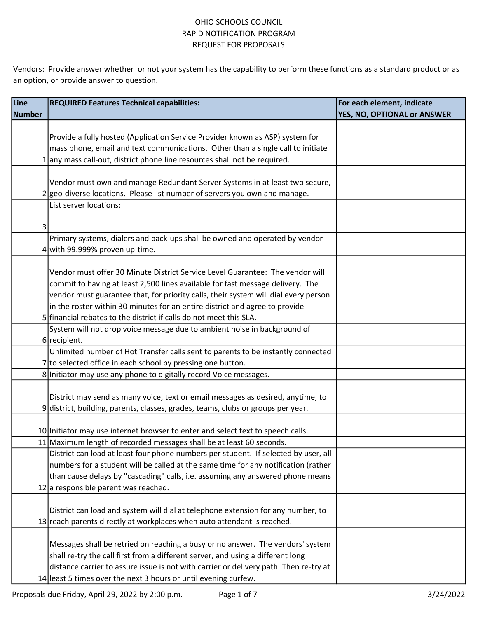| Line   | <b>REQUIRED Features Technical capabilities:</b>                                      | For each element, indicate  |
|--------|---------------------------------------------------------------------------------------|-----------------------------|
| Number |                                                                                       | YES, NO, OPTIONAL or ANSWER |
|        |                                                                                       |                             |
|        | Provide a fully hosted (Application Service Provider known as ASP) system for         |                             |
|        | mass phone, email and text communications. Other than a single call to initiate       |                             |
|        | 1 any mass call-out, district phone line resources shall not be required.             |                             |
|        |                                                                                       |                             |
|        | Vendor must own and manage Redundant Server Systems in at least two secure,           |                             |
|        | 2 geo-diverse locations. Please list number of servers you own and manage.            |                             |
|        | List server locations:                                                                |                             |
|        |                                                                                       |                             |
| 3      |                                                                                       |                             |
|        | Primary systems, dialers and back-ups shall be owned and operated by vendor           |                             |
|        | $4$ with 99.999% proven up-time.                                                      |                             |
|        |                                                                                       |                             |
|        | Vendor must offer 30 Minute District Service Level Guarantee: The vendor will         |                             |
|        | commit to having at least 2,500 lines available for fast message delivery. The        |                             |
|        | vendor must guarantee that, for priority calls, their system will dial every person   |                             |
|        | in the roster within 30 minutes for an entire district and agree to provide           |                             |
|        | 5 financial rebates to the district if calls do not meet this SLA.                    |                             |
|        | System will not drop voice message due to ambient noise in background of              |                             |
|        | $6$ recipient.                                                                        |                             |
|        | Unlimited number of Hot Transfer calls sent to parents to be instantly connected      |                             |
|        | 7 to selected office in each school by pressing one button.                           |                             |
|        | 8 Initiator may use any phone to digitally record Voice messages.                     |                             |
|        |                                                                                       |                             |
|        | District may send as many voice, text or email messages as desired, anytime, to       |                             |
|        | 9 district, building, parents, classes, grades, teams, clubs or groups per year.      |                             |
|        |                                                                                       |                             |
|        | 10 Initiator may use internet browser to enter and select text to speech calls.       |                             |
|        | 11 Maximum length of recorded messages shall be at least 60 seconds.                  |                             |
|        | District can load at least four phone numbers per student. If selected by user, all   |                             |
|        | numbers for a student will be called at the same time for any notification (rather    |                             |
|        | than cause delays by "cascading" calls, i.e. assuming any answered phone means        |                             |
|        | 12 a responsible parent was reached.                                                  |                             |
|        | District can load and system will dial at telephone extension for any number, to      |                             |
|        |                                                                                       |                             |
|        | 13 reach parents directly at workplaces when auto attendant is reached.               |                             |
|        | Messages shall be retried on reaching a busy or no answer. The vendors' system        |                             |
|        | shall re-try the call first from a different server, and using a different long       |                             |
|        | distance carrier to assure issue is not with carrier or delivery path. Then re-try at |                             |
|        |                                                                                       |                             |
|        | 14 least 5 times over the next 3 hours or until evening curfew.                       |                             |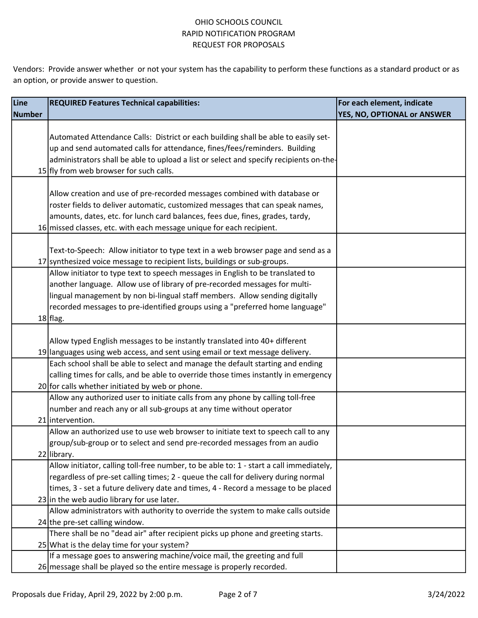| Line   | <b>REQUIRED Features Technical capabilities:</b>                                                       | For each element, indicate  |
|--------|--------------------------------------------------------------------------------------------------------|-----------------------------|
| Number |                                                                                                        | YES, NO, OPTIONAL or ANSWER |
|        |                                                                                                        |                             |
|        | Automated Attendance Calls: District or each building shall be able to easily set-                     |                             |
|        | up and send automated calls for attendance, fines/fees/reminders. Building                             |                             |
|        | administrators shall be able to upload a list or select and specify recipients on-the-                 |                             |
|        | 15 fly from web browser for such calls.                                                                |                             |
|        |                                                                                                        |                             |
|        | Allow creation and use of pre-recorded messages combined with database or                              |                             |
|        | roster fields to deliver automatic, customized messages that can speak names,                          |                             |
|        | amounts, dates, etc. for lunch card balances, fees due, fines, grades, tardy,                          |                             |
|        | 16 missed classes, etc. with each message unique for each recipient.                                   |                             |
|        |                                                                                                        |                             |
|        | Text-to-Speech: Allow initiator to type text in a web browser page and send as a                       |                             |
|        | 17 synthesized voice message to recipient lists, buildings or sub-groups.                              |                             |
|        | Allow initiator to type text to speech messages in English to be translated to                         |                             |
|        | another language. Allow use of library of pre-recorded messages for multi-                             |                             |
|        | lingual management by non bi-lingual staff members. Allow sending digitally                            |                             |
|        | recorded messages to pre-identified groups using a "preferred home language"                           |                             |
|        | $18$  flag.                                                                                            |                             |
|        |                                                                                                        |                             |
|        | Allow typed English messages to be instantly translated into 40+ different                             |                             |
|        | 19 languages using web access, and sent using email or text message delivery.                          |                             |
|        | Each school shall be able to select and manage the default starting and ending                         |                             |
|        | calling times for calls, and be able to override those times instantly in emergency                    |                             |
|        | 20 for calls whether initiated by web or phone.                                                        |                             |
|        | Allow any authorized user to initiate calls from any phone by calling toll-free                        |                             |
|        | number and reach any or all sub-groups at any time without operator                                    |                             |
|        | 21 intervention.                                                                                       |                             |
|        | Allow an authorized use to use web browser to initiate text to speech call to any                      |                             |
|        | group/sub-group or to select and send pre-recorded messages from an audio                              |                             |
|        | 22 library.<br>Allow initiator, calling toll-free number, to be able to: 1 - start a call immediately, |                             |
|        | regardless of pre-set calling times; 2 - queue the call for delivery during normal                     |                             |
|        | times, 3 - set a future delivery date and times, 4 - Record a message to be placed                     |                             |
|        | 23 in the web audio library for use later.                                                             |                             |
|        | Allow administrators with authority to override the system to make calls outside                       |                             |
|        | $24$ the pre-set calling window.                                                                       |                             |
|        | There shall be no "dead air" after recipient picks up phone and greeting starts.                       |                             |
|        | 25 What is the delay time for your system?                                                             |                             |
|        | If a message goes to answering machine/voice mail, the greeting and full                               |                             |
|        | 26 message shall be played so the entire message is properly recorded.                                 |                             |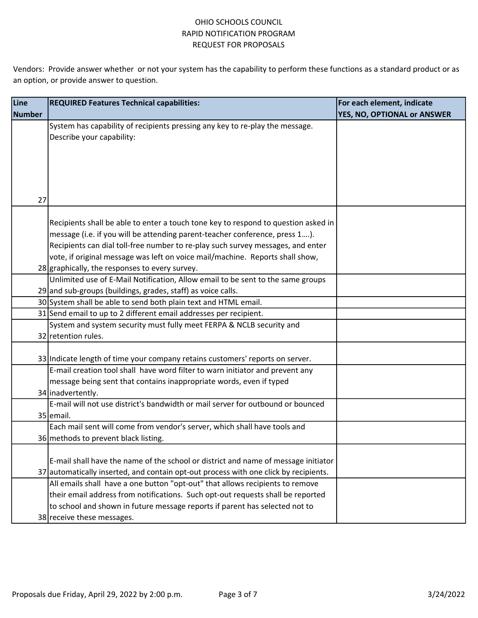| Line   | <b>REQUIRED Features Technical capabilities:</b>                                     | For each element, indicate  |
|--------|--------------------------------------------------------------------------------------|-----------------------------|
| Number |                                                                                      | YES, NO, OPTIONAL or ANSWER |
|        | System has capability of recipients pressing any key to re-play the message.         |                             |
|        | Describe your capability:                                                            |                             |
|        |                                                                                      |                             |
|        |                                                                                      |                             |
|        |                                                                                      |                             |
|        |                                                                                      |                             |
| 27     |                                                                                      |                             |
|        |                                                                                      |                             |
|        | Recipients shall be able to enter a touch tone key to respond to question asked in   |                             |
|        | message (i.e. if you will be attending parent-teacher conference, press 1).          |                             |
|        | Recipients can dial toll-free number to re-play such survey messages, and enter      |                             |
|        | vote, if original message was left on voice mail/machine. Reports shall show,        |                             |
|        | 28 graphically, the responses to every survey.                                       |                             |
|        | Unlimited use of E-Mail Notification, Allow email to be sent to the same groups      |                             |
|        | 29 and sub-groups (buildings, grades, staff) as voice calls.                         |                             |
|        | 30 System shall be able to send both plain text and HTML email.                      |                             |
|        | 31 Send email to up to 2 different email addresses per recipient.                    |                             |
|        | System and system security must fully meet FERPA & NCLB security and                 |                             |
|        | 32 retention rules.                                                                  |                             |
|        |                                                                                      |                             |
|        | 33 Indicate length of time your company retains customers' reports on server.        |                             |
|        | E-mail creation tool shall have word filter to warn initiator and prevent any        |                             |
|        | message being sent that contains inappropriate words, even if typed                  |                             |
|        | 34 inadvertently.                                                                    |                             |
|        | E-mail will not use district's bandwidth or mail server for outbound or bounced      |                             |
|        | 35 email.                                                                            |                             |
|        | Each mail sent will come from vendor's server, which shall have tools and            |                             |
|        | 36 methods to prevent black listing.                                                 |                             |
|        | E-mail shall have the name of the school or district and name of message initiator   |                             |
|        | 37 automatically inserted, and contain opt-out process with one click by recipients. |                             |
|        | All emails shall have a one button "opt-out" that allows recipients to remove        |                             |
|        | their email address from notifications. Such opt-out requests shall be reported      |                             |
|        | to school and shown in future message reports if parent has selected not to          |                             |
|        | 38 receive these messages.                                                           |                             |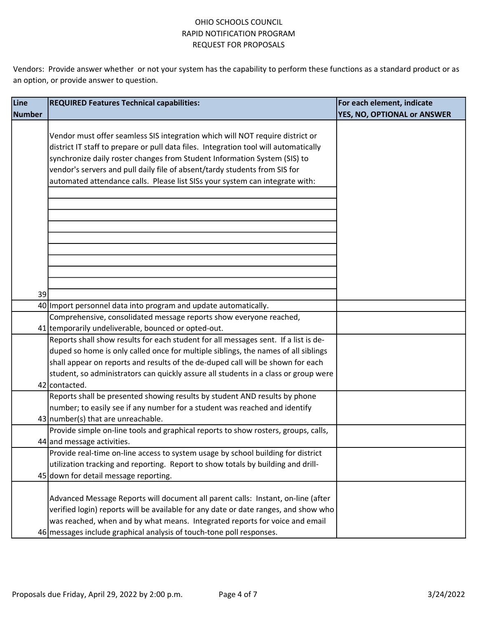| Line   | <b>REQUIRED Features Technical capabilities:</b>                                     | For each element, indicate  |
|--------|--------------------------------------------------------------------------------------|-----------------------------|
| Number |                                                                                      | YES, NO, OPTIONAL or ANSWER |
|        |                                                                                      |                             |
|        | Vendor must offer seamless SIS integration which will NOT require district or        |                             |
|        | district IT staff to prepare or pull data files. Integration tool will automatically |                             |
|        | synchronize daily roster changes from Student Information System (SIS) to            |                             |
|        | vendor's servers and pull daily file of absent/tardy students from SIS for           |                             |
|        | automated attendance calls. Please list SISs your system can integrate with:         |                             |
|        |                                                                                      |                             |
|        |                                                                                      |                             |
|        |                                                                                      |                             |
|        |                                                                                      |                             |
|        |                                                                                      |                             |
|        |                                                                                      |                             |
|        |                                                                                      |                             |
|        |                                                                                      |                             |
|        |                                                                                      |                             |
| 39     |                                                                                      |                             |
|        | 40 Import personnel data into program and update automatically.                      |                             |
|        | Comprehensive, consolidated message reports show everyone reached,                   |                             |
|        | 41 temporarily undeliverable, bounced or opted-out.                                  |                             |
|        | Reports shall show results for each student for all messages sent. If a list is de-  |                             |
|        | duped so home is only called once for multiple siblings, the names of all siblings   |                             |
|        | shall appear on reports and results of the de-duped call will be shown for each      |                             |
|        | student, so administrators can quickly assure all students in a class or group were  |                             |
|        | 42 contacted.                                                                        |                             |
|        | Reports shall be presented showing results by student AND results by phone           |                             |
|        | number; to easily see if any number for a student was reached and identify           |                             |
|        | 43 number(s) that are unreachable.                                                   |                             |
|        | Provide simple on-line tools and graphical reports to show rosters, groups, calls,   |                             |
|        | 44 and message activities.                                                           |                             |
|        | Provide real-time on-line access to system usage by school building for district     |                             |
|        | utilization tracking and reporting. Report to show totals by building and drill-     |                             |
|        | 45 down for detail message reporting.                                                |                             |
|        |                                                                                      |                             |
|        | Advanced Message Reports will document all parent calls: Instant, on-line (after     |                             |
|        | verified login) reports will be available for any date or date ranges, and show who  |                             |
|        | was reached, when and by what means. Integrated reports for voice and email          |                             |
|        | 46 messages include graphical analysis of touch-tone poll responses.                 |                             |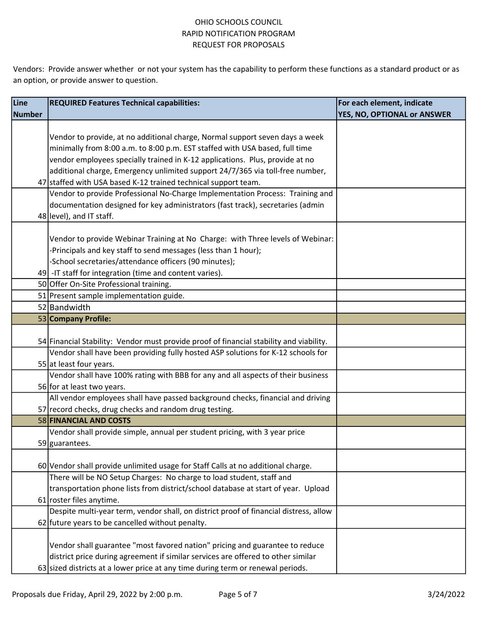| Line          | <b>REQUIRED Features Technical capabilities:</b>                                        | For each element, indicate  |
|---------------|-----------------------------------------------------------------------------------------|-----------------------------|
| <b>Number</b> |                                                                                         | YES, NO, OPTIONAL or ANSWER |
|               |                                                                                         |                             |
|               | Vendor to provide, at no additional charge, Normal support seven days a week            |                             |
|               | minimally from 8:00 a.m. to 8:00 p.m. EST staffed with USA based, full time             |                             |
|               | vendor employees specially trained in K-12 applications. Plus, provide at no            |                             |
|               | additional charge, Emergency unlimited support 24/7/365 via toll-free number,           |                             |
|               | 47 staffed with USA based K-12 trained technical support team.                          |                             |
|               | Vendor to provide Professional No-Charge Implementation Process: Training and           |                             |
|               | documentation designed for key administrators (fast track), secretaries (admin          |                             |
|               | 48 level), and IT staff.                                                                |                             |
|               |                                                                                         |                             |
|               | Vendor to provide Webinar Training at No Charge: with Three levels of Webinar:          |                             |
|               | -Principals and key staff to send messages (less than 1 hour);                          |                             |
|               | -School secretaries/attendance officers (90 minutes);                                   |                             |
|               | 49 - IT staff for integration (time and content varies).                                |                             |
|               | 50 Offer On-Site Professional training.                                                 |                             |
|               | 51 Present sample implementation guide.                                                 |                             |
|               | 52 Bandwidth                                                                            |                             |
|               | 53 Company Profile:                                                                     |                             |
|               |                                                                                         |                             |
|               | 54 Financial Stability: Vendor must provide proof of financial stability and viability. |                             |
|               | Vendor shall have been providing fully hosted ASP solutions for K-12 schools for        |                             |
|               | 55 at least four years.                                                                 |                             |
|               | Vendor shall have 100% rating with BBB for any and all aspects of their business        |                             |
|               | 56 for at least two years.                                                              |                             |
|               | All vendor employees shall have passed background checks, financial and driving         |                             |
|               | 57 record checks, drug checks and random drug testing.                                  |                             |
|               | 58 FINANCIAL AND COSTS                                                                  |                             |
|               | Vendor shall provide simple, annual per student pricing, with 3 year price              |                             |
|               | 59 guarantees.                                                                          |                             |
|               |                                                                                         |                             |
|               | 60 Vendor shall provide unlimited usage for Staff Calls at no additional charge.        |                             |
|               | There will be NO Setup Charges: No charge to load student, staff and                    |                             |
|               | transportation phone lists from district/school database at start of year. Upload       |                             |
|               | 61 roster files anytime.                                                                |                             |
|               | Despite multi-year term, vendor shall, on district proof of financial distress, allow   |                             |
|               | 62 future years to be cancelled without penalty.                                        |                             |
|               |                                                                                         |                             |
|               | Vendor shall guarantee "most favored nation" pricing and guarantee to reduce            |                             |
|               | district price during agreement if similar services are offered to other similar        |                             |
|               | 63 sized districts at a lower price at any time during term or renewal periods.         |                             |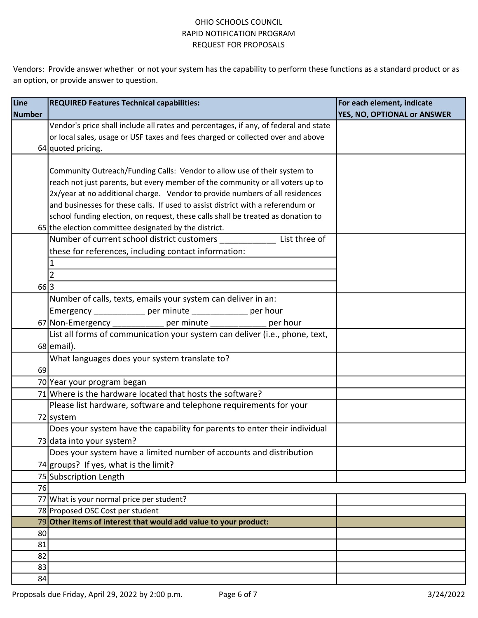| Line          | <b>REQUIRED Features Technical capabilities:</b>                                     | For each element, indicate  |
|---------------|--------------------------------------------------------------------------------------|-----------------------------|
| <b>Number</b> |                                                                                      | YES, NO, OPTIONAL or ANSWER |
|               | Vendor's price shall include all rates and percentages, if any, of federal and state |                             |
|               | or local sales, usage or USF taxes and fees charged or collected over and above      |                             |
|               | 64 quoted pricing.                                                                   |                             |
|               |                                                                                      |                             |
|               | Community Outreach/Funding Calls: Vendor to allow use of their system to             |                             |
|               | reach not just parents, but every member of the community or all voters up to        |                             |
|               | 2x/year at no additional charge. Vendor to provide numbers of all residences         |                             |
|               | and businesses for these calls. If used to assist district with a referendum or      |                             |
|               | school funding election, on request, these calls shall be treated as donation to     |                             |
|               | 65 the election committee designated by the district.                                |                             |
|               | Number of current school district customers List three of                            |                             |
|               | these for references, including contact information:                                 |                             |
|               | 1                                                                                    |                             |
|               | $\overline{2}$                                                                       |                             |
| 66 3          |                                                                                      |                             |
|               | Number of calls, texts, emails your system can deliver in an:                        |                             |
|               | Emergency ______________ per minute ______________ per hour                          |                             |
|               | 67 Non-Emergency ______________ per minute ______________ per hour                   |                             |
|               | List all forms of communication your system can deliver (i.e., phone, text,          |                             |
|               | $68$ email).                                                                         |                             |
|               | What languages does your system translate to?                                        |                             |
| 69            |                                                                                      |                             |
|               | 70 Year your program began                                                           |                             |
|               | 71 Where is the hardware located that hosts the software?                            |                             |
|               | Please list hardware, software and telephone requirements for your                   |                             |
|               | 72 system                                                                            |                             |
|               | Does your system have the capability for parents to enter their individual           |                             |
|               | 73 data into your system?                                                            |                             |
|               | Does your system have a limited number of accounts and distribution                  |                             |
|               | 74 groups? If yes, what is the limit?                                                |                             |
|               | 75 Subscription Length                                                               |                             |
| 76            |                                                                                      |                             |
|               | 77 What is your normal price per student?                                            |                             |
|               | 78 Proposed OSC Cost per student                                                     |                             |
|               | 79 Other items of interest that would add value to your product:                     |                             |
| 80            |                                                                                      |                             |
| 81            |                                                                                      |                             |
| 82            |                                                                                      |                             |
| 83            |                                                                                      |                             |
| 84            |                                                                                      |                             |